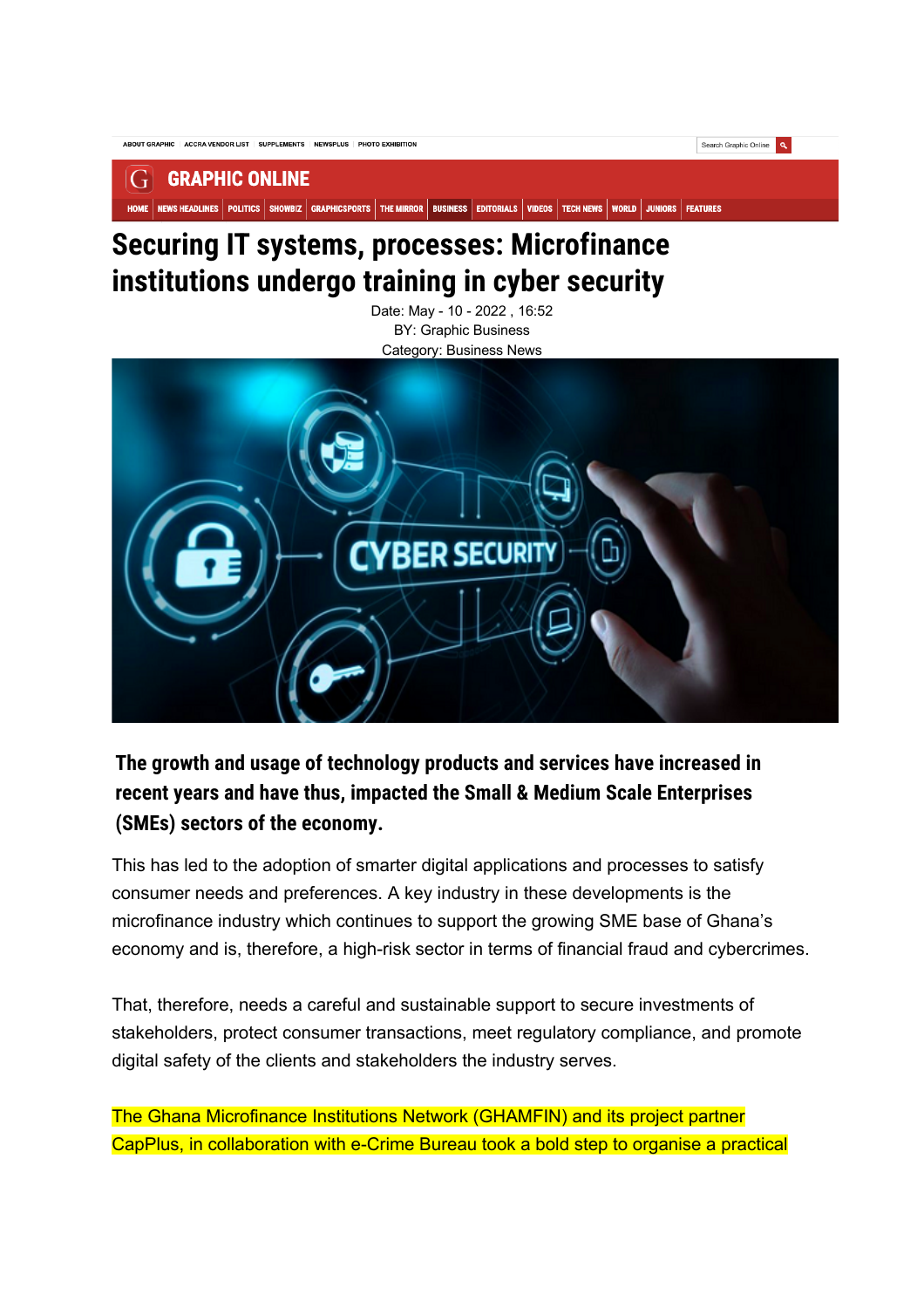

#### **GRAPHIC ONLINE**  $\left| \right|$

HOME | NEWS HEADLINES | POLITICS | SHOWBIZ | GRAPHICSPORTS | THE MIRROR | BUSINESS | EDITORIALS | VIDEOS | TECH NEWS | WORLD | JUNIORS | FEATURES

# **Securing IT systems, processes: Microfinance institutions undergo training in cyber security**

Date: May - 10 - 2022 , 16:52 BY: Graphic Business Category: Business News



# **The growth and usage of technology products and services have increased in recent years and have thus, impacted the Small & Medium Scale Enterprises (SMEs) sectors of the economy.**

This has led to the adoption of smarter digital applications and processes to satisfy consumer needs and preferences. A key industry in these developments is the microfinance industry which continues to support the growing SME base of Ghana's economy and is, therefore, a high-risk sector in terms of financial fraud and cybercrimes.

That, therefore, needs a careful and sustainable support to secure investments of stakeholders, protect consumer transactions, meet regulatory compliance, and promote digital safety of the clients and stakeholders the industry serves.

The Ghana Microfinance Institutions Network (GHAMFIN) and its project partner CapPlus, in collaboration with e-Crime Bureau took a bold step to organise a practical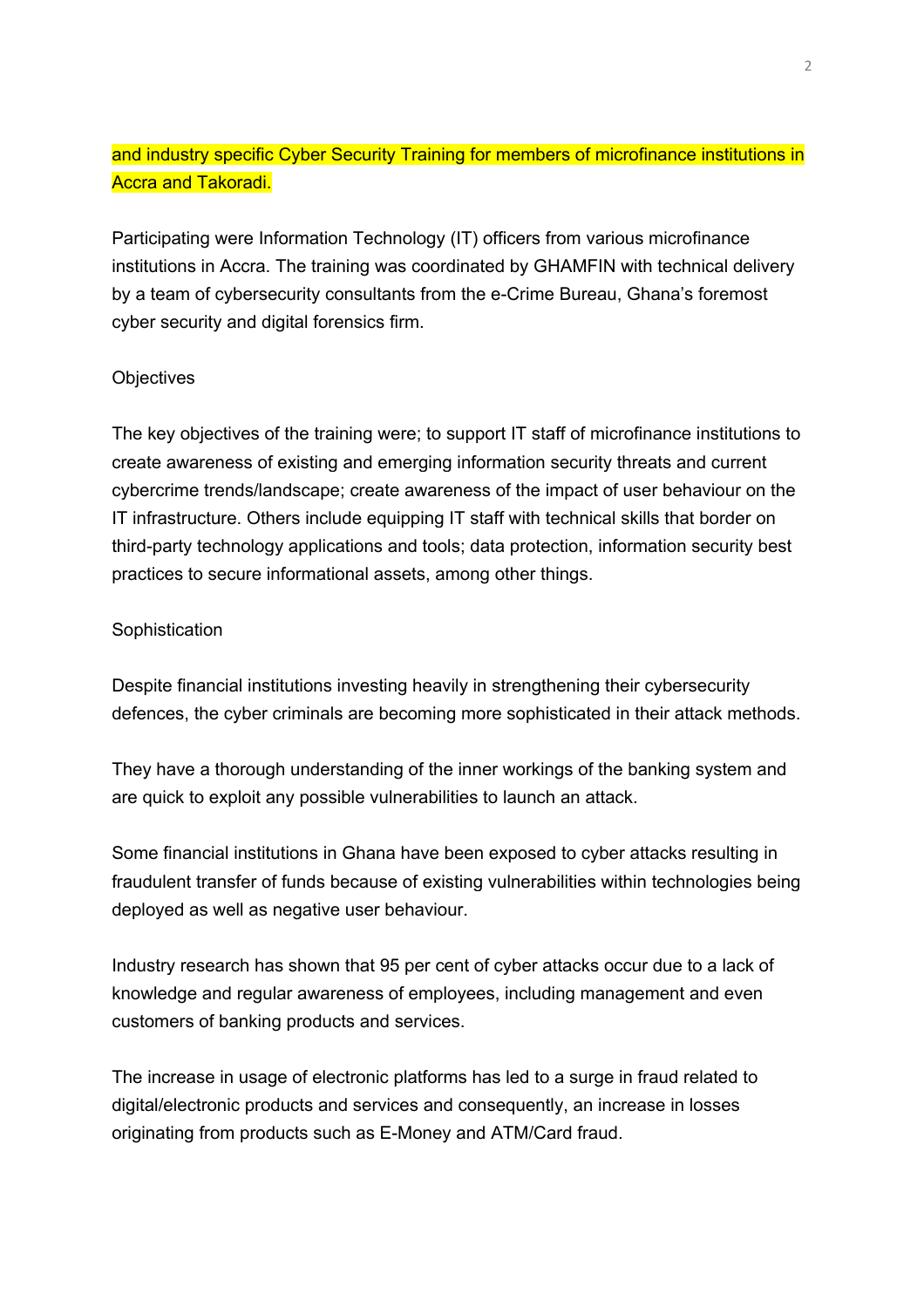# and industry specific Cyber Security Training for members of microfinance institutions in Accra and Takoradi.

Participating were Information Technology (IT) officers from various microfinance institutions in Accra. The training was coordinated by GHAMFIN with technical delivery by a team of cybersecurity consultants from the e-Crime Bureau, Ghana's foremost cyber security and digital forensics firm.

## **Objectives**

The key objectives of the training were; to support IT staff of microfinance institutions to create awareness of existing and emerging information security threats and current cybercrime trends/landscape; create awareness of the impact of user behaviour on the IT infrastructure. Others include equipping IT staff with technical skills that border on third-party technology applications and tools; data protection, information security best practices to secure informational assets, among other things.

#### **Sophistication**

Despite financial institutions investing heavily in strengthening their cybersecurity defences, the cyber criminals are becoming more sophisticated in their attack methods.

They have a thorough understanding of the inner workings of the banking system and are quick to exploit any possible vulnerabilities to launch an attack.

Some financial institutions in Ghana have been exposed to cyber attacks resulting in fraudulent transfer of funds because of existing vulnerabilities within technologies being deployed as well as negative user behaviour.

Industry research has shown that 95 per cent of cyber attacks occur due to a lack of knowledge and regular awareness of employees, including management and even customers of banking products and services.

The increase in usage of electronic platforms has led to a surge in fraud related to digital/electronic products and services and consequently, an increase in losses originating from products such as E-Money and ATM/Card fraud.